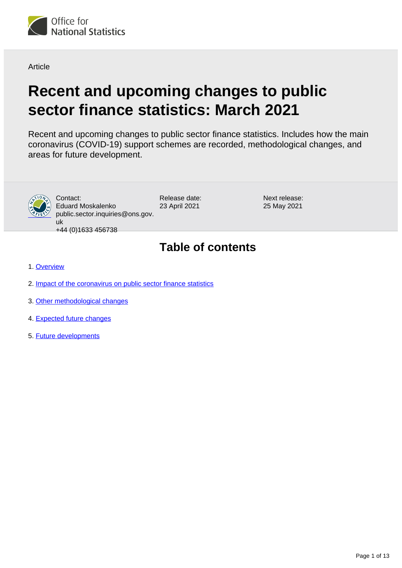

**Article** 

# **Recent and upcoming changes to public sector finance statistics: March 2021**

Recent and upcoming changes to public sector finance statistics. Includes how the main coronavirus (COVID-19) support schemes are recorded, methodological changes, and areas for future development.



Contact: Eduard Moskalenko public.sector.inquiries@ons.gov. uk

Release date: 23 April 2021

Next release: 25 May 2021

+44 (0)1633 456738

# **Table of contents**

- 1. [Overview](#page-1-0)
- 2. [Impact of the coronavirus on public sector finance statistics](#page-1-1)
- 3. [Other methodological changes](#page-8-0)
- 4. [Expected future changes](#page-8-1)
- 5. [Future developments](#page-12-0)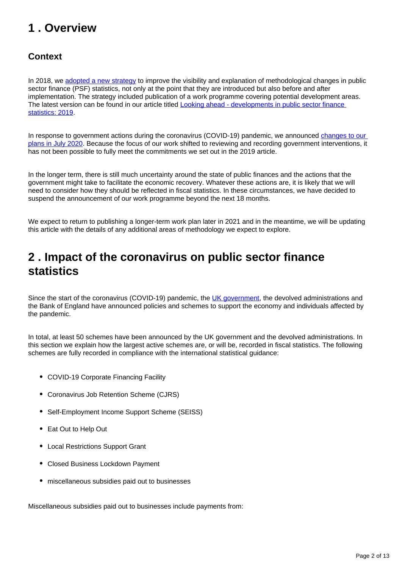# <span id="page-1-0"></span>**1 . Overview**

### **Context**

In 2018, we [adopted a new strategy](https://www.ons.gov.uk/economy/governmentpublicsectorandtaxes/publicsectorfinance/articles/lookingaheaddevelopmentsinpublicsectorfinancestatistics/2018) to improve the visibility and explanation of methodological changes in public sector finance (PSF) statistics, not only at the point that they are introduced but also before and after implementation. The strategy included publication of a work programme covering potential development areas. The latest version can be found in our article titled **Looking ahead** - developments in public sector finance [statistics: 2019](https://www.ons.gov.uk/economy/governmentpublicsectorandtaxes/publicsectorfinance/articles/lookingaheaddevelopmentsinpublicsectorfinancestatistics/2019).

In response to government actions during the coronavirus (COVID-19) pandemic, we announced changes to our [plans in July 2020.](https://www.ons.gov.uk/economy/governmentpublicsectorandtaxes/publicsectorfinance/articles/developmentofpublicsectorfinancestatistics/june2020) Because the focus of our work shifted to reviewing and recording government interventions, it has not been possible to fully meet the commitments we set out in the 2019 article.

In the longer term, there is still much uncertainty around the state of public finances and the actions that the government might take to facilitate the economic recovery. Whatever these actions are, it is likely that we will need to consider how they should be reflected in fiscal statistics. In these circumstances, we have decided to suspend the announcement of our work programme beyond the next 18 months.

We expect to return to publishing a longer-term work plan later in 2021 and in the meantime, we will be updating this article with the details of any additional areas of methodology we expect to explore.

# <span id="page-1-1"></span>**2 . Impact of the coronavirus on public sector finance statistics**

Since the start of the coronavirus (COVID-19) pandemic, the [UK government](https://www.gov.uk/government/news/coronavirus-covid-19-guidance-for-employees-employers-and-businesses), the devolved administrations and the Bank of England have announced policies and schemes to support the economy and individuals affected by the pandemic.

In total, at least 50 schemes have been announced by the UK government and the devolved administrations. In this section we explain how the largest active schemes are, or will be, recorded in fiscal statistics. The following schemes are fully recorded in compliance with the international statistical guidance:

- COVID-19 Corporate Financing Facility
- Coronavirus Job Retention Scheme (CJRS)
- Self-Employment Income Support Scheme (SEISS)
- Eat Out to Help Out
- Local Restrictions Support Grant
- Closed Business Lockdown Payment
- miscellaneous subsidies paid out to businesses

Miscellaneous subsidies paid out to businesses include payments from: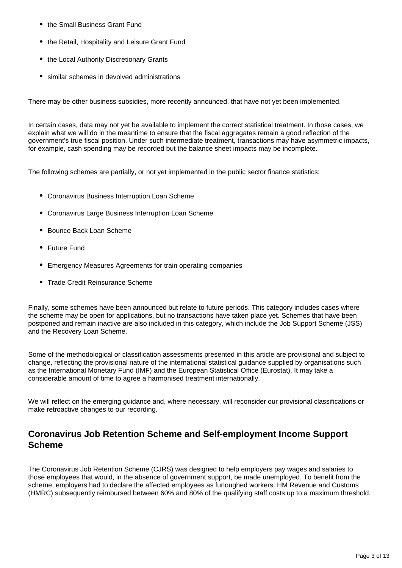- the Small Business Grant Fund
- the Retail, Hospitality and Leisure Grant Fund
- the Local Authority Discretionary Grants
- similar schemes in devolved administrations

There may be other business subsidies, more recently announced, that have not yet been implemented.

In certain cases, data may not yet be available to implement the correct statistical treatment. In those cases, we explain what we will do in the meantime to ensure that the fiscal aggregates remain a good reflection of the government's true fiscal position. Under such intermediate treatment, transactions may have asymmetric impacts, for example, cash spending may be recorded but the balance sheet impacts may be incomplete.

The following schemes are partially, or not yet implemented in the public sector finance statistics:

- Coronavirus Business Interruption Loan Scheme
- Coronavirus Large Business Interruption Loan Scheme
- Bounce Back Loan Scheme
- Future Fund
- Emergency Measures Agreements for train operating companies
- Trade Credit Reinsurance Scheme

Finally, some schemes have been announced but relate to future periods. This category includes cases where the scheme may be open for applications, but no transactions have taken place yet. Schemes that have been postponed and remain inactive are also included in this category, which include the Job Support Scheme (JSS) and the Recovery Loan Scheme.

Some of the methodological or classification assessments presented in this article are provisional and subject to change, reflecting the provisional nature of the international statistical guidance supplied by organisations such as the International Monetary Fund (IMF) and the European Statistical Office (Eurostat). It may take a considerable amount of time to agree a harmonised treatment internationally.

We will reflect on the emerging guidance and, where necessary, will reconsider our provisional classifications or make retroactive changes to our recording.

#### **Coronavirus Job Retention Scheme and Self-employment Income Support Scheme**

The Coronavirus Job Retention Scheme (CJRS) was designed to help employers pay wages and salaries to those employees that would, in the absence of government support, be made unemployed. To benefit from the scheme, employers had to declare the affected employees as furloughed workers. HM Revenue and Customs (HMRC) subsequently reimbursed between 60% and 80% of the qualifying staff costs up to a maximum threshold.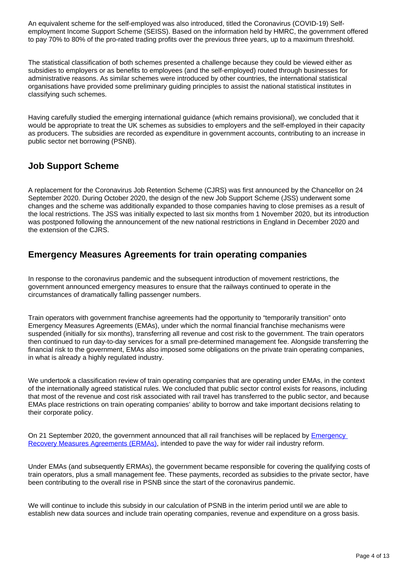An equivalent scheme for the self-employed was also introduced, titled the Coronavirus (COVID-19) Selfemployment Income Support Scheme (SEISS). Based on the information held by HMRC, the government offered to pay 70% to 80% of the pro-rated trading profits over the previous three years, up to a maximum threshold.

The statistical classification of both schemes presented a challenge because they could be viewed either as subsidies to employers or as benefits to employees (and the self-employed) routed through businesses for administrative reasons. As similar schemes were introduced by other countries, the international statistical organisations have provided some preliminary guiding principles to assist the national statistical institutes in classifying such schemes.

Having carefully studied the emerging international guidance (which remains provisional), we concluded that it would be appropriate to treat the UK schemes as subsidies to employers and the self-employed in their capacity as producers. The subsidies are recorded as expenditure in government accounts, contributing to an increase in public sector net borrowing (PSNB).

#### **Job Support Scheme**

A replacement for the Coronavirus Job Retention Scheme (CJRS) was first announced by the Chancellor on 24 September 2020. During October 2020, the design of the new Job Support Scheme (JSS) underwent some changes and the scheme was additionally expanded to those companies having to close premises as a result of the local restrictions. The JSS was initially expected to last six months from 1 November 2020, but its introduction was postponed following the announcement of the new national restrictions in England in December 2020 and the extension of the CJRS.

#### **Emergency Measures Agreements for train operating companies**

In response to the coronavirus pandemic and the subsequent introduction of movement restrictions, the government announced emergency measures to ensure that the railways continued to operate in the circumstances of dramatically falling passenger numbers.

Train operators with government franchise agreements had the opportunity to "temporarily transition" onto Emergency Measures Agreements (EMAs), under which the normal financial franchise mechanisms were suspended (initially for six months), transferring all revenue and cost risk to the government. The train operators then continued to run day-to-day services for a small pre-determined management fee. Alongside transferring the financial risk to the government, EMAs also imposed some obligations on the private train operating companies, in what is already a highly regulated industry.

We undertook a classification review of train operating companies that are operating under EMAs, in the context of the internationally agreed statistical rules. We concluded that public sector control exists for reasons, including that most of the revenue and cost risk associated with rail travel has transferred to the public sector, and because EMAs place restrictions on train operating companies' ability to borrow and take important decisions relating to their corporate policy.

On 21 September 2020, the government announced that all rail franchises will be replaced by [Emergency](https://www.gov.uk/government/news/rail-franchising-reaches-the-terminus-as-a-new-railway-takes-shape)  [Recovery Measures Agreements \(ERMAs\)](https://www.gov.uk/government/news/rail-franchising-reaches-the-terminus-as-a-new-railway-takes-shape), intended to pave the way for wider rail industry reform.

Under EMAs (and subsequently ERMAs), the government became responsible for covering the qualifying costs of train operators, plus a small management fee. These payments, recorded as subsidies to the private sector, have been contributing to the overall rise in PSNB since the start of the coronavirus pandemic.

We will continue to include this subsidy in our calculation of PSNB in the interim period until we are able to establish new data sources and include train operating companies, revenue and expenditure on a gross basis.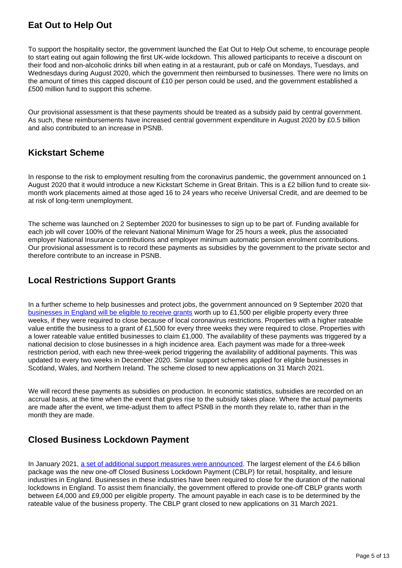# **Eat Out to Help Out**

To support the hospitality sector, the government launched the Eat Out to Help Out scheme, to encourage people to start eating out again following the first UK-wide lockdown. This allowed participants to receive a discount on their food and non-alcoholic drinks bill when eating in at a restaurant, pub or café on Mondays, Tuesdays, and Wednesdays during August 2020, which the government then reimbursed to businesses. There were no limits on the amount of times this capped discount of £10 per person could be used, and the government established a £500 million fund to support this scheme.

Our provisional assessment is that these payments should be treated as a subsidy paid by central government. As such, these reimbursements have increased central government expenditure in August 2020 by £0.5 billion and also contributed to an increase in PSNB.

#### **Kickstart Scheme**

In response to the risk to employment resulting from the coronavirus pandemic, the government announced on 1 August 2020 that it would introduce a new Kickstart Scheme in Great Britain. This is a £2 billion fund to create sixmonth work placements aimed at those aged 16 to 24 years who receive Universal Credit, and are deemed to be at risk of long-term unemployment.

The scheme was launched on 2 September 2020 for businesses to sign up to be part of. Funding available for each job will cover 100% of the relevant National Minimum Wage for 25 hours a week, plus the associated employer National Insurance contributions and employer minimum automatic pension enrolment contributions. Our provisional assessment is to record these payments as subsidies by the government to the private sector and therefore contribute to an increase in PSNB.

#### **Local Restrictions Support Grants**

In a further scheme to help businesses and protect jobs, the government announced on 9 September 2020 that [businesses in England will be eligible to receive grants](https://www.gov.uk/government/news/ministers-announce-new-grants-for-businesses-affected-by-local-lockdowns) worth up to £1,500 per eligible property every three weeks, if they were required to close because of local coronavirus restrictions. Properties with a higher rateable value entitle the business to a grant of £1,500 for every three weeks they were required to close. Properties with a lower rateable value entitled businesses to claim £1,000. The availability of these payments was triggered by a national decision to close businesses in a high incidence area. Each payment was made for a three-week restriction period, with each new three-week period triggering the availability of additional payments. This was updated to every two weeks in December 2020. Similar support schemes applied for eligible businesses in Scotland, Wales, and Northern Ireland. The scheme closed to new applications on 31 March 2021.

We will record these payments as subsidies on production. In economic statistics, subsidies are recorded on an accrual basis, at the time when the event that gives rise to the subsidy takes place. Where the actual payments are made after the event, we time-adjust them to affect PSNB in the month they relate to, rather than in the month they are made.

# **Closed Business Lockdown Payment**

In January 2021, [a set of additional support measures were announced.](https://www.gov.uk/government/news/46-billion-in-new-lockdown-grants-to-support-businesses-and-protect-jobs) The largest element of the £4.6 billion package was the new one-off Closed Business Lockdown Payment (CBLP) for retail, hospitality, and leisure industries in England. Businesses in these industries have been required to close for the duration of the national lockdowns in England. To assist them financially, the government offered to provide one-off CBLP grants worth between £4,000 and £9,000 per eligible property. The amount payable in each case is to be determined by the rateable value of the business property. The CBLP grant closed to new applications on 31 March 2021.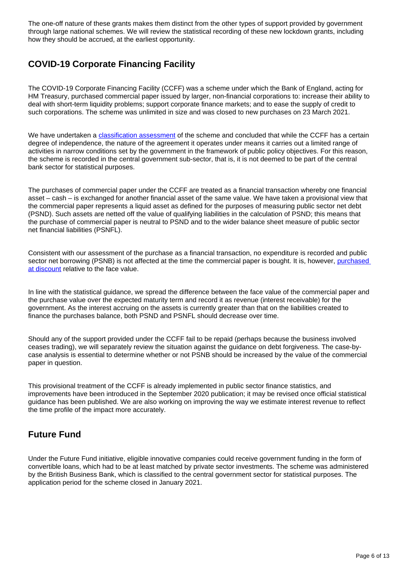The one-off nature of these grants makes them distinct from the other types of support provided by government through large national schemes. We will review the statistical recording of these new lockdown grants, including how they should be accrued, at the earliest opportunity.

# **COVID-19 Corporate Financing Facility**

The COVID-19 Corporate Financing Facility (CCFF) was a scheme under which the Bank of England, acting for HM Treasury, purchased commercial paper issued by larger, non-financial corporations to: increase their ability to deal with short-term liquidity problems; support corporate finance markets; and to ease the supply of credit to such corporations. The scheme was unlimited in size and was closed to new purchases on 23 March 2021.

We have undertaken a [classification assessment](https://www.ons.gov.uk/methodology/classificationsandstandards/economicstatisticsclassifications/ukeconomicstatisticssectorandtransactionclassificationstheclassificationprocess) of the scheme and concluded that while the CCFF has a certain degree of independence, the nature of the agreement it operates under means it carries out a limited range of activities in narrow conditions set by the government in the framework of public policy objectives. For this reason, the scheme is recorded in the central government sub-sector, that is, it is not deemed to be part of the central bank sector for statistical purposes.

The purchases of commercial paper under the CCFF are treated as a financial transaction whereby one financial asset – cash – is exchanged for another financial asset of the same value. We have taken a provisional view that the commercial paper represents a liquid asset as defined for the purposes of measuring public sector net debt (PSND). Such assets are netted off the value of qualifying liabilities in the calculation of PSND; this means that the purchase of commercial paper is neutral to PSND and to the wider balance sheet measure of public sector net financial liabilities (PSNFL).

Consistent with our assessment of the purchase as a financial transaction, no expenditure is recorded and public sector net borrowing (PSNB) is not affected at the time the commercial paper is bought. It is, however, purchased [at discount](https://www.bankofengland.co.uk/markets/market-notices/2020/ccff-market-notice-march-2020) relative to the face value.

In line with the statistical guidance, we spread the difference between the face value of the commercial paper and the purchase value over the expected maturity term and record it as revenue (interest receivable) for the government. As the interest accruing on the assets is currently greater than that on the liabilities created to finance the purchases balance, both PSND and PSNFL should decrease over time.

Should any of the support provided under the CCFF fail to be repaid (perhaps because the business involved ceases trading), we will separately review the situation against the guidance on debt forgiveness. The case-bycase analysis is essential to determine whether or not PSNB should be increased by the value of the commercial paper in question.

This provisional treatment of the CCFF is already implemented in public sector finance statistics, and improvements have been introduced in the September 2020 publication; it may be revised once official statistical guidance has been published. We are also working on improving the way we estimate interest revenue to reflect the time profile of the impact more accurately.

# **Future Fund**

Under the Future Fund initiative, eligible innovative companies could receive government funding in the form of convertible loans, which had to be at least matched by private sector investments. The scheme was administered by the British Business Bank, which is classified to the central government sector for statistical purposes. The application period for the scheme closed in January 2021.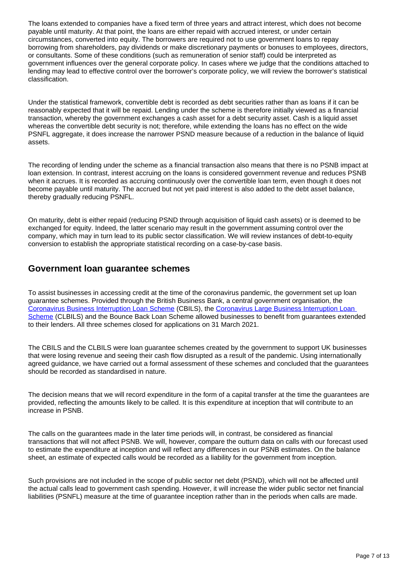The loans extended to companies have a fixed term of three years and attract interest, which does not become payable until maturity. At that point, the loans are either repaid with accrued interest, or under certain circumstances, converted into equity. The borrowers are required not to use government loans to repay borrowing from shareholders, pay dividends or make discretionary payments or bonuses to employees, directors, or consultants. Some of these conditions (such as remuneration of senior staff) could be interpreted as government influences over the general corporate policy. In cases where we judge that the conditions attached to lending may lead to effective control over the borrower's corporate policy, we will review the borrower's statistical classification.

Under the statistical framework, convertible debt is recorded as debt securities rather than as loans if it can be reasonably expected that it will be repaid. Lending under the scheme is therefore initially viewed as a financial transaction, whereby the government exchanges a cash asset for a debt security asset. Cash is a liquid asset whereas the convertible debt security is not; therefore, while extending the loans has no effect on the wide PSNFL aggregate, it does increase the narrower PSND measure because of a reduction in the balance of liquid assets.

The recording of lending under the scheme as a financial transaction also means that there is no PSNB impact at loan extension. In contrast, interest accruing on the loans is considered government revenue and reduces PSNB when it accrues. It is recorded as accruing continuously over the convertible loan term, even though it does not become payable until maturity. The accrued but not yet paid interest is also added to the debt asset balance, thereby gradually reducing PSNFL.

On maturity, debt is either repaid (reducing PSND through acquisition of liquid cash assets) or is deemed to be exchanged for equity. Indeed, the latter scenario may result in the government assuming control over the company, which may in turn lead to its public sector classification. We will review instances of debt-to-equity conversion to establish the appropriate statistical recording on a case-by-case basis.

#### **Government loan guarantee schemes**

To assist businesses in accessing credit at the time of the coronavirus pandemic, the government set up loan guarantee schemes. Provided through the British Business Bank, a central government organisation, the [Coronavirus Business Interruption Loan Scheme](https://www.british-business-bank.co.uk/ourpartners/coronavirus-business-interruption-loan-scheme-cbils-2/?gclid=EAIaIQobChMI4Mu_qvvi6QIVSrDtCh3oFQipEAAYASAAEgJR7vD_BwE) (CBILS), the [Coronavirus Large Business Interruption Loan](https://www.british-business-bank.co.uk/ourpartners/coronavirus-business-interruption-loan-schemes/clbils/)  [Scheme](https://www.british-business-bank.co.uk/ourpartners/coronavirus-business-interruption-loan-schemes/clbils/) (CLBILS) and the Bounce Back Loan Scheme allowed businesses to benefit from quarantees extended to their lenders. All three schemes closed for applications on 31 March 2021.

The CBILS and the CLBILS were loan guarantee schemes created by the government to support UK businesses that were losing revenue and seeing their cash flow disrupted as a result of the pandemic. Using internationally agreed guidance, we have carried out a formal assessment of these schemes and concluded that the guarantees should be recorded as standardised in nature.

The decision means that we will record expenditure in the form of a capital transfer at the time the guarantees are provided, reflecting the amounts likely to be called. It is this expenditure at inception that will contribute to an increase in PSNB.

The calls on the guarantees made in the later time periods will, in contrast, be considered as financial transactions that will not affect PSNB. We will, however, compare the outturn data on calls with our forecast used to estimate the expenditure at inception and will reflect any differences in our PSNB estimates. On the balance sheet, an estimate of expected calls would be recorded as a liability for the government from inception.

Such provisions are not included in the scope of public sector net debt (PSND), which will not be affected until the actual calls lead to government cash spending. However, it will increase the wider public sector net financial liabilities (PSNFL) measure at the time of guarantee inception rather than in the periods when calls are made.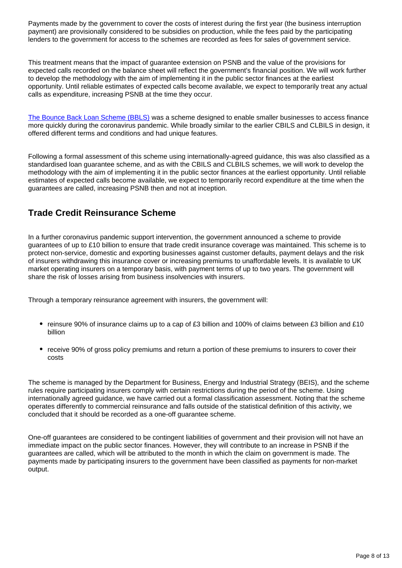Payments made by the government to cover the costs of interest during the first year (the business interruption payment) are provisionally considered to be subsidies on production, while the fees paid by the participating lenders to the government for access to the schemes are recorded as fees for sales of government service.

This treatment means that the impact of guarantee extension on PSNB and the value of the provisions for expected calls recorded on the balance sheet will reflect the government's financial position. We will work further to develop the methodology with the aim of implementing it in the public sector finances at the earliest opportunity. Until reliable estimates of expected calls become available, we expect to temporarily treat any actual calls as expenditure, increasing PSNB at the time they occur.

[The Bounce Back Loan Scheme \(BBLS\)](https://www.british-business-bank.co.uk/ourpartners/coronavirus-business-interruption-loan-schemes/bounce-back-loans/) was a scheme designed to enable smaller businesses to access finance more quickly during the coronavirus pandemic. While broadly similar to the earlier CBILS and CLBILS in design, it offered different terms and conditions and had unique features.

Following a formal assessment of this scheme using internationally-agreed guidance, this was also classified as a standardised loan guarantee scheme, and as with the CBILS and CLBILS schemes, we will work to develop the methodology with the aim of implementing it in the public sector finances at the earliest opportunity. Until reliable estimates of expected calls become available, we expect to temporarily record expenditure at the time when the guarantees are called, increasing PSNB then and not at inception.

### **Trade Credit Reinsurance Scheme**

In a further coronavirus pandemic support intervention, the government announced a scheme to provide guarantees of up to £10 billion to ensure that trade credit insurance coverage was maintained. This scheme is to protect non-service, domestic and exporting businesses against customer defaults, payment delays and the risk of insurers withdrawing this insurance cover or increasing premiums to unaffordable levels. It is available to UK market operating insurers on a temporary basis, with payment terms of up to two years. The government will share the risk of losses arising from business insolvencies with insurers.

Through a temporary reinsurance agreement with insurers, the government will:

- reinsure 90% of insurance claims up to a cap of £3 billion and 100% of claims between £3 billion and £10 billion
- receive 90% of gross policy premiums and return a portion of these premiums to insurers to cover their costs

The scheme is managed by the Department for Business, Energy and Industrial Strategy (BEIS), and the scheme rules require participating insurers comply with certain restrictions during the period of the scheme. Using internationally agreed guidance, we have carried out a formal classification assessment. Noting that the scheme operates differently to commercial reinsurance and falls outside of the statistical definition of this activity, we concluded that it should be recorded as a one-off guarantee scheme.

One-off guarantees are considered to be contingent liabilities of government and their provision will not have an immediate impact on the public sector finances. However, they will contribute to an increase in PSNB if the guarantees are called, which will be attributed to the month in which the claim on government is made. The payments made by participating insurers to the government have been classified as payments for non-market output.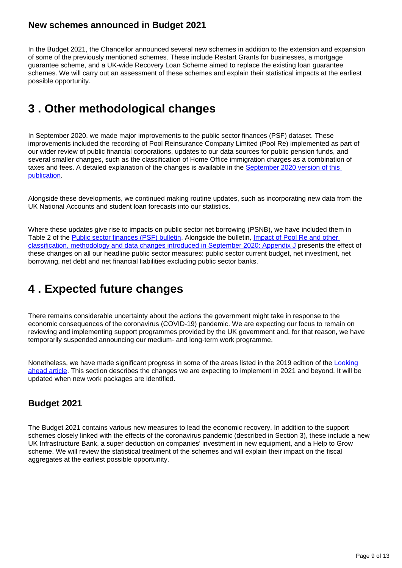#### **New schemes announced in Budget 2021**

In the Budget 2021, the Chancellor announced several new schemes in addition to the extension and expansion of some of the previously mentioned schemes. These include Restart Grants for businesses, a mortgage guarantee scheme, and a UK-wide Recovery Loan Scheme aimed to replace the existing loan guarantee schemes. We will carry out an assessment of these schemes and explain their statistical impacts at the earliest possible opportunity.

# <span id="page-8-0"></span>**3 . Other methodological changes**

In September 2020, we made major improvements to the public sector finances (PSF) dataset. These improvements included the recording of Pool Reinsurance Company Limited (Pool Re) implemented as part of our wider review of public financial corporations, updates to our data sources for public pension funds, and several smaller changes, such as the classification of Home Office immigration charges as a combination of taxes and fees. A detailed explanation of the changes is available in the September 2020 version of this [publication](https://www.ons.gov.uk/economy/governmentpublicsectorandtaxes/publicsectorfinance/articles/developmentofpublicsectorfinancestatistics/september2020).

Alongside these developments, we continued making routine updates, such as incorporating new data from the UK National Accounts and student loan forecasts into our statistics.

Where these updates give rise to impacts on public sector net borrowing (PSNB), we have included them in Table 2 of the [Public sector finances \(PSF\) bulletin](https://www.ons.gov.uk/economy/governmentpublicsectorandtaxes/publicsectorfinance/bulletins/publicsectorfinances/march2021). Alongside the bulletin, [Impact of Pool Re and other](https://www.ons.gov.uk/economy/governmentpublicsectorandtaxes/publicsectorfinance/datasets/appendixjimpactofpoolreandotherclassificationmethodologyanddatachangesexpectedtobeintroducedinseptember2020)  [classification, methodology and data changes introduced in September 2020: Appendix J](https://www.ons.gov.uk/economy/governmentpublicsectorandtaxes/publicsectorfinance/datasets/appendixjimpactofpoolreandotherclassificationmethodologyanddatachangesexpectedtobeintroducedinseptember2020) presents the effect of these changes on all our headline public sector measures: public sector current budget, net investment, net borrowing, net debt and net financial liabilities excluding public sector banks.

# <span id="page-8-1"></span>**4 . Expected future changes**

There remains considerable uncertainty about the actions the government might take in response to the economic consequences of the coronavirus (COVID-19) pandemic. We are expecting our focus to remain on reviewing and implementing support programmes provided by the UK government and, for that reason, we have temporarily suspended announcing our medium- and long-term work programme.

Nonetheless, we have made significant progress in some of the areas listed in the 2019 edition of the Looking [ahead article.](https://www.ons.gov.uk/economy/governmentpublicsectorandtaxes/publicsectorfinance/articles/lookingaheaddevelopmentsinpublicsectorfinancestatistics/2019) This section describes the changes we are expecting to implement in 2021 and beyond. It will be updated when new work packages are identified.

# **Budget 2021**

The Budget 2021 contains various new measures to lead the economic recovery. In addition to the support schemes closely linked with the effects of the coronavirus pandemic (described in Section 3), these include a new UK Infrastructure Bank, a super deduction on companies' investment in new equipment, and a Help to Grow scheme. We will review the statistical treatment of the schemes and will explain their impact on the fiscal aggregates at the earliest possible opportunity.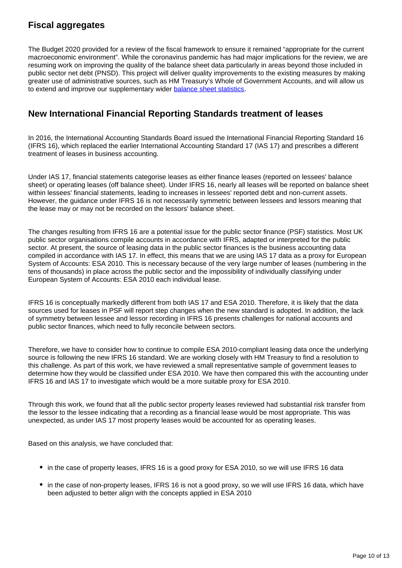# **Fiscal aggregates**

The Budget 2020 provided for a review of the fiscal framework to ensure it remained "appropriate for the current macroeconomic environment". While the coronavirus pandemic has had major implications for the review, we are resuming work on improving the quality of the balance sheet data particularly in areas beyond those included in public sector net debt (PNSD). This project will deliver quality improvements to the existing measures by making greater use of administrative sources, such as HM Treasury's Whole of Government Accounts, and will allow us to extend and improve our supplementary wider [balance sheet statistics.](https://www.ons.gov.uk/economy/governmentpublicsectorandtaxes/publicsectorfinance/methodologies/internationalmonetaryfundsgovernmentfinancestatisticsframeworkinthepublicsectorfinances)

#### **New International Financial Reporting Standards treatment of leases**

In 2016, the International Accounting Standards Board issued the International Financial Reporting Standard 16 (IFRS 16), which replaced the earlier International Accounting Standard 17 (IAS 17) and prescribes a different treatment of leases in business accounting.

Under IAS 17, financial statements categorise leases as either finance leases (reported on lessees' balance sheet) or operating leases (off balance sheet). Under IFRS 16, nearly all leases will be reported on balance sheet within lessees' financial statements, leading to increases in lessees' reported debt and non-current assets. However, the guidance under IFRS 16 is not necessarily symmetric between lessees and lessors meaning that the lease may or may not be recorded on the lessors' balance sheet.

The changes resulting from IFRS 16 are a potential issue for the public sector finance (PSF) statistics. Most UK public sector organisations compile accounts in accordance with IFRS, adapted or interpreted for the public sector. At present, the source of leasing data in the public sector finances is the business accounting data compiled in accordance with IAS 17. In effect, this means that we are using IAS 17 data as a proxy for European System of Accounts: ESA 2010. This is necessary because of the very large number of leases (numbering in the tens of thousands) in place across the public sector and the impossibility of individually classifying under European System of Accounts: ESA 2010 each individual lease.

IFRS 16 is conceptually markedly different from both IAS 17 and ESA 2010. Therefore, it is likely that the data sources used for leases in PSF will report step changes when the new standard is adopted. In addition, the lack of symmetry between lessee and lessor recording in IFRS 16 presents challenges for national accounts and public sector finances, which need to fully reconcile between sectors.

Therefore, we have to consider how to continue to compile ESA 2010-compliant leasing data once the underlying source is following the new IFRS 16 standard. We are working closely with HM Treasury to find a resolution to this challenge. As part of this work, we have reviewed a small representative sample of government leases to determine how they would be classified under ESA 2010. We have then compared this with the accounting under IFRS 16 and IAS 17 to investigate which would be a more suitable proxy for ESA 2010.

Through this work, we found that all the public sector property leases reviewed had substantial risk transfer from the lessor to the lessee indicating that a recording as a financial lease would be most appropriate. This was unexpected, as under IAS 17 most property leases would be accounted for as operating leases.

Based on this analysis, we have concluded that:

- in the case of property leases, IFRS 16 is a good proxy for ESA 2010, so we will use IFRS 16 data
- in the case of non-property leases, IFRS 16 is not a good proxy, so we will use IFRS 16 data, which have been adjusted to better align with the concepts applied in ESA 2010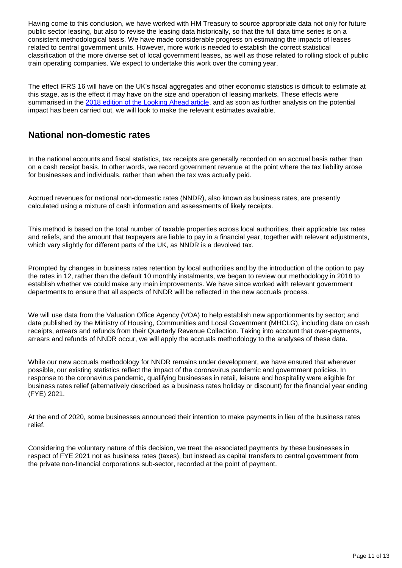Having come to this conclusion, we have worked with HM Treasury to source appropriate data not only for future public sector leasing, but also to revise the leasing data historically, so that the full data time series is on a consistent methodological basis. We have made considerable progress on estimating the impacts of leases related to central government units. However, more work is needed to establish the correct statistical classification of the more diverse set of local government leases, as well as those related to rolling stock of public train operating companies. We expect to undertake this work over the coming year.

The effect IFRS 16 will have on the UK's fiscal aggregates and other economic statistics is difficult to estimate at this stage, as is the effect it may have on the size and operation of leasing markets. These effects were summarised in the [2018 edition of the Looking Ahead article,](https://www.ons.gov.uk/economy/governmentpublicsectorandtaxes/publicsectorfinance/articles/lookingaheaddevelopmentsinpublicsectorfinancestatistics/2018) and as soon as further analysis on the potential impact has been carried out, we will look to make the relevant estimates available.

#### **National non-domestic rates**

In the national accounts and fiscal statistics, tax receipts are generally recorded on an accrual basis rather than on a cash receipt basis. In other words, we record government revenue at the point where the tax liability arose for businesses and individuals, rather than when the tax was actually paid.

Accrued revenues for national non-domestic rates (NNDR), also known as business rates, are presently calculated using a mixture of cash information and assessments of likely receipts.

This method is based on the total number of taxable properties across local authorities, their applicable tax rates and reliefs, and the amount that taxpayers are liable to pay in a financial year, together with relevant adjustments, which vary slightly for different parts of the UK, as NNDR is a devolved tax.

Prompted by changes in business rates retention by local authorities and by the introduction of the option to pay the rates in 12, rather than the default 10 monthly instalments, we began to review our methodology in 2018 to establish whether we could make any main improvements. We have since worked with relevant government departments to ensure that all aspects of NNDR will be reflected in the new accruals process.

We will use data from the Valuation Office Agency (VOA) to help establish new apportionments by sector; and data published by the Ministry of Housing, Communities and Local Government (MHCLG), including data on cash receipts, arrears and refunds from their Quarterly Revenue Collection. Taking into account that over-payments, arrears and refunds of NNDR occur, we will apply the accruals methodology to the analyses of these data.

While our new accruals methodology for NNDR remains under development, we have ensured that wherever possible, our existing statistics reflect the impact of the coronavirus pandemic and government policies. In response to the coronavirus pandemic, qualifying businesses in retail, leisure and hospitality were eligible for business rates relief (alternatively described as a business rates holiday or discount) for the financial year ending (FYE) 2021.

At the end of 2020, some businesses announced their intention to make payments in lieu of the business rates relief.

Considering the voluntary nature of this decision, we treat the associated payments by these businesses in respect of FYE 2021 not as business rates (taxes), but instead as capital transfers to central government from the private non-financial corporations sub-sector, recorded at the point of payment.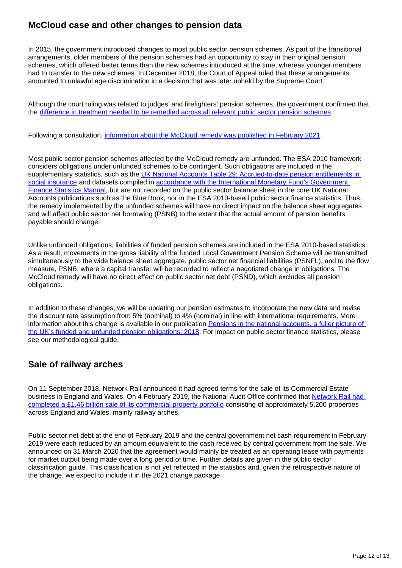### **McCloud case and other changes to pension data**

In 2015, the government introduced changes to most public sector pension schemes. As part of the transitional arrangements, older members of the pension schemes had an opportunity to stay in their original pension schemes, which offered better terms than the new schemes introduced at the time, whereas younger members had to transfer to the new schemes. In December 2018, the Court of Appeal ruled that these arrangements amounted to unlawful age discrimination in a decision that was later upheld by the Supreme Court.

Although the court ruling was related to judges' and firefighters' pension schemes, the government confirmed that the [difference in treatment needed to be remedied across all relevant public sector pension schemes](https://www.civilservicepensionscheme.org.uk/members/mccloud-judgment/).

Following a consultation, [information about the McCloud remedy was published in February 2021](https://www.gov.uk/government/news/mccloud-remedy-update).

Most public sector pension schemes affected by the McCloud remedy are unfunded. The ESA 2010 framework considers obligations under unfunded schemes to be contingent. Such obligations are included in the supplementary statistics, such as the UK National Accounts Table 29: Accrued-to-date pension entitlements in [social insurance](https://www.ons.gov.uk/releases/pensionsinthenationalaccountsafullerpictureoftheuksfundedandunfundedpensionobligations2018) and datasets compiled in accordance with the International Monetary Fund's Government [Finance Statistics Manual,](https://www.ons.gov.uk/economy/governmentpublicsectorandtaxes/publicsectorfinance/methodologies/internationalmonetaryfundsgovernmentfinancestatisticsframeworkinthepublicsectorfinances) but are not recorded on the public sector balance sheet in the core UK National Accounts publications such as the Blue Book, nor in the ESA 2010-based public sector finance statistics. Thus, the remedy implemented by the unfunded schemes will have no direct impact on the balance sheet aggregates and will affect public sector net borrowing (PSNB) to the extent that the actual amount of pension benefits payable should change.

Unlike unfunded obligations, liabilities of funded pension schemes are included in the ESA 2010-based statistics. As a result, movements in the gross liability of the funded Local Government Pension Scheme will be transmitted simultaneously to the wide balance sheet aggregate, public sector net financial liabilities (PSNFL), and to the flow measure, PSNB, where a capital transfer will be recorded to reflect a negotiated change in obligations. The McCloud remedy will have no direct effect on public sector net debt (PSND), which excludes all pension obligations.

In addition to these changes, we will be updating our pension estimates to incorporate the new data and revise the discount rate assumption from 5% (nominal) to 4% (nominal) in line with international requirements. More information about this change is available in our publication [Pensions in the national accounts, a fuller picture of](https://www.ons.gov.uk/releases/pensionsinthenationalaccountsafullerpictureoftheuksfundedandunfundedpensionobligations2018)  [the UK's funded and unfunded pension obligations: 2018](https://www.ons.gov.uk/releases/pensionsinthenationalaccountsafullerpictureoftheuksfundedandunfundedpensionobligations2018). For impact on public sector finance statistics, please see our methodological guide.

#### **Sale of railway arches**

On 11 September 2018, Network Rail announced it had agreed terms for the sale of its Commercial Estate business in England and Wales. On 4 February 2019, the National Audit Office confirmed that [Network Rail had](https://www.nao.org.uk/report/network-rails-sale-of-railway-arches/)  [completed a £1.46 billion sale of its commercial property portfolio](https://www.nao.org.uk/report/network-rails-sale-of-railway-arches/) consisting of approximately 5,200 properties across England and Wales, mainly railway arches.

Public sector net debt at the end of February 2019 and the central government net cash requirement in February 2019 were each reduced by an amount equivalent to the cash received by central government from the sale. We announced on 31 March 2020 that the agreement would mainly be treated as an operating lease with payments for market output being made over a long period of time. Further details are given in the public sector classification guide. This classification is not yet reflected in the statistics and, given the retrospective nature of the change, we expect to include it in the 2021 change package.